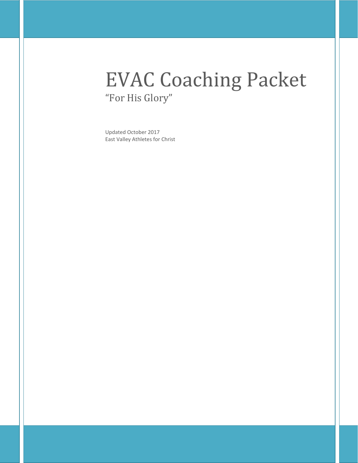# EVAC Coaching Packet "For His Glory"

Updated October 2017 East Valley Athletes for Christ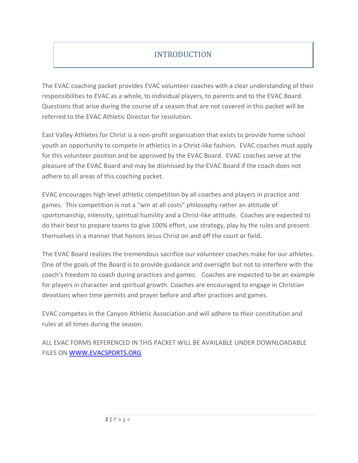# **INTRODUCTION**

The EVAC coaching packet provides EVAC volunteer coaches with a clear understanding of their responsibilities to EVAC as a whole, to individual players, to parents and to the EVAC Board. Questions that arise during the course of a season that are not covered in this packet will be referred to the EVAC Athletic Director for resolution.

East Valley Athletes for Christ is a non-profit organization that exists to provide home school youth an opportunity to compete in athletics in a Christ-like fashion. EVAC coaches must apply for this volunteer position and be approved by the EVAC Board. EVAC coaches serve at the pleasure of the EVAC Board and may be dismissed by the EVAC Board if the coach does not adhere to all areas of this coaching packet.

EVAC encourages high level athletic competition by all coaches and players in practice and games. This competition is not a "win at all costs" philosophy rather an attitude of sportsmanship, intensity, spiritual humility and a Christ-like attitude. Coaches are expected to do their best to prepare teams to give 100% effort, use strategy, play by the rules and present themselves in a manner that honors Jesus Christ on and off the court or field.

The EVAC Board realizes the tremendous sacrifice our volunteer coaches make for our athletes. One of the goals of the Board is to provide guidance and oversight but not to interfere with the coach's freedom to coach during practices and games. Coaches are expected to be an example for players in character and spiritual growth. Coaches are encouraged to engage in Christian devotions when time permits and prayer before and after practices and games.

EVAC competes in the Canyon Athletic Association and will adhere to their constitution and rules at all times during the season.

ALL EVAC FORMS REFERENCED IN THIS PACKET WILL BE AVAILABLE UNDER DOWNLOADABLE FILES ON [WWW.EVACSPORTS.ORG](http://www.evacsports.org/)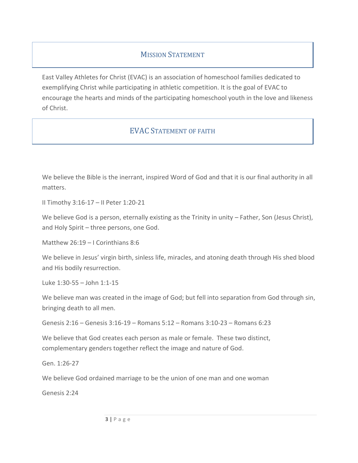### **MISSION STATEMENT**

East Valley Athletes for Christ (EVAC) is an association of homeschool families dedicated to exemplifying Christ while participating in athletic competition. It is the goal of EVAC to encourage the hearts and minds of the participating homeschool youth in the love and likeness of Christ.

### EVAC STATEMENT OF FAITH

We believe the Bible is the inerrant, inspired Word of God and that it is our final authority in all matters.

II Timothy 3:16-17 – II Peter 1:20-21

We believe God is a person, eternally existing as the Trinity in unity – Father, Son (Jesus Christ), and Holy Spirit – three persons, one God.

Matthew 26:19 – I Corinthians 8:6

We believe in Jesus' virgin birth, sinless life, miracles, and atoning death through His shed blood and His bodily resurrection.

Luke 1:30-55 – John 1:1-15

We believe man was created in the image of God; but fell into separation from God through sin, bringing death to all men.

Genesis 2:16 – Genesis 3:16-19 – Romans 5:12 – Romans 3:10-23 – Romans 6:23

We believe that God creates each person as male or female. These two distinct, complementary genders together reflect the image and nature of God.

Gen. 1:26-27

We believe God ordained marriage to be the union of one man and one woman

Genesis 2:24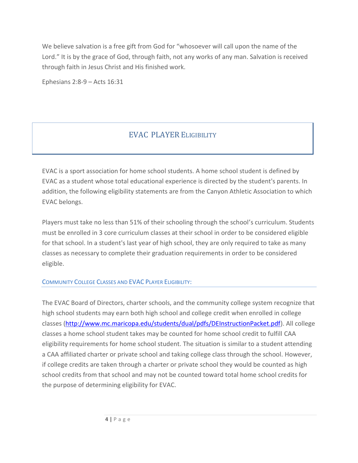We believe salvation is a free gift from God for "whosoever will call upon the name of the Lord." It is by the grace of God, through faith, not any works of any man. Salvation is received through faith in Jesus Christ and His finished work.

Ephesians 2:8-9 – Acts 16:31

## EVAC PLAYER ELIGIBILITY

EVAC is a sport association for home school students. A home school student is defined by EVAC as a student whose total educational experience is directed by the student's parents. In addition, the following eligibility statements are from the Canyon Athletic Association to which EVAC belongs.

Players must take no less than 51% of their schooling through the school's curriculum. Students must be enrolled in 3 core curriculum classes at their school in order to be considered eligible for that school. In a student's last year of high school, they are only required to take as many classes as necessary to complete their graduation requirements in order to be considered eligible.

#### COMMUNITY COLLEGE CLASSES AND EVAC PLAYER ELIGIBILITY:

The EVAC Board of Directors, charter schools, and the community college system recognize that high school students may earn both high school and college credit when enrolled in college classes [\(http://www.mc.maricopa.edu/students/dual/pdfs/DEInstructionPacket.pdf\)](http://www.mc.maricopa.edu/students/dual/pdfs/DEInstructionPacket.pdf). All college classes a home school student takes may be counted for home school credit to fulfill CAA eligibility requirements for home school student. The situation is similar to a student attending a CAA affiliated charter or private school and taking college class through the school. However, if college credits are taken through a charter or private school they would be counted as high school credits from that school and may not be counted toward total home school credits for the purpose of determining eligibility for EVAC.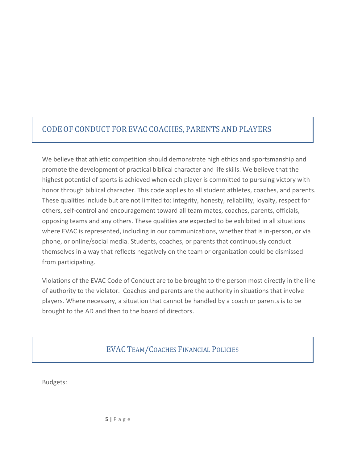# CODE OF CONDUCT FOR EVAC COACHES, PARENTS AND PLAYERS

We believe that athletic competition should demonstrate high ethics and sportsmanship and promote the development of practical biblical character and life skills. We believe that the highest potential of sports is achieved when each player is committed to pursuing victory with honor through biblical character. This code applies to all student athletes, coaches, and parents. These qualities include but are not limited to: integrity, honesty, reliability, loyalty, respect for others, self-control and encouragement toward all team mates, coaches, parents, officials, opposing teams and any others. These qualities are expected to be exhibited in all situations where EVAC is represented, including in our communications, whether that is in-person, or via phone, or online/social media. Students, coaches, or parents that continuously conduct themselves in a way that reflects negatively on the team or organization could be dismissed from participating.

Violations of the EVAC Code of Conduct are to be brought to the person most directly in the line of authority to the violator. Coaches and parents are the authority in situations that involve players. Where necessary, a situation that cannot be handled by a coach or parents is to be brought to the AD and then to the board of directors.

EVAC TEAM/COACHES FINANCIAL POLICIES

Budgets: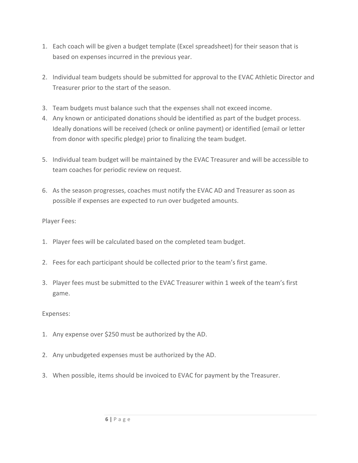- 1. Each coach will be given a budget template (Excel spreadsheet) for their season that is based on expenses incurred in the previous year.
- 2. Individual team budgets should be submitted for approval to the EVAC Athletic Director and Treasurer prior to the start of the season.
- 3. Team budgets must balance such that the expenses shall not exceed income.
- 4. Any known or anticipated donations should be identified as part of the budget process. Ideally donations will be received (check or online payment) or identified (email or letter from donor with specific pledge) prior to finalizing the team budget.
- 5. Individual team budget will be maintained by the EVAC Treasurer and will be accessible to team coaches for periodic review on request.
- 6. As the season progresses, coaches must notify the EVAC AD and Treasurer as soon as possible if expenses are expected to run over budgeted amounts.

Player Fees:

- 1. Player fees will be calculated based on the completed team budget.
- 2. Fees for each participant should be collected prior to the team's first game.
- 3. Player fees must be submitted to the EVAC Treasurer within 1 week of the team's first game.

Expenses:

- 1. Any expense over \$250 must be authorized by the AD.
- 2. Any unbudgeted expenses must be authorized by the AD.
- 3. When possible, items should be invoiced to EVAC for payment by the Treasurer.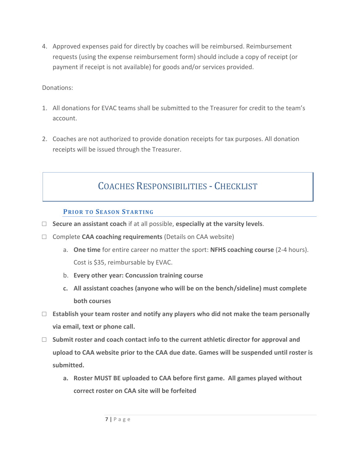4. Approved expenses paid for directly by coaches will be reimbursed. Reimbursement requests (using the expense reimbursement form) should include a copy of receipt (or payment if receipt is not available) for goods and/or services provided.

Donations:

- 1. All donations for EVAC teams shall be submitted to the Treasurer for credit to the team's account.
- 2. Coaches are not authorized to provide donation receipts for tax purposes. All donation receipts will be issued through the Treasurer.

# COACHES RESPONSIBILITIES - CHECKLIST

### **PRIOR TO SEASON STARTING**

- **□ Secure an assistant coach** if at all possible, **especially at the varsity levels**.
- **□** Complete **CAA coaching requirements** (Details on CAA website)
	- a. **One time** for entire career no matter the sport: **NFHS coaching course** (2-4 hours). Cost is \$35, reimbursable by EVAC.
	- b. **Every other year: Concussion training course**
	- **c. All assistant coaches (anyone who will be on the bench/sideline) must complete both courses**
- **□ Establish your team roster and notify any players who did not make the team personally via email, text or phone call.**
- **□ Submit roster and coach contact info to the current athletic director for approval and upload to CAA website prior to the CAA due date. Games will be suspended until roster is submitted.**
	- **a. Roster MUST BE uploaded to CAA before first game. All games played without correct roster on CAA site will be forfeited**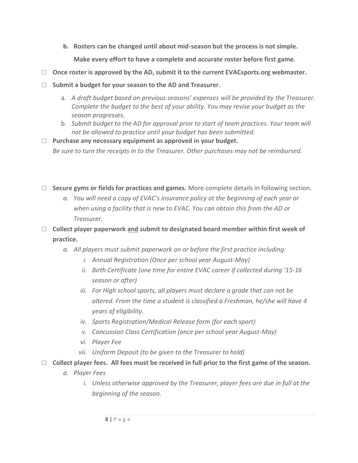**b. Rosters can be changed until about mid-season but the process is not simple.** 

**Make every effort to have a complete and accurate roster before first game.**

- **□ Once roster is approved by the AD, submit it to the current EVACsports.org webmaster.**
- **□ Submit a budget for your season to the AD and Treasurer.**
	- a. *A draft budget based on previous seasons' expenses will be provided by the Treasurer. Complete the budget to the best of your ability. You may revise your budget as the season progresses.*
	- b. *Submit budget to the AD for approval prior to start of team practices. Your team will not be allowed to practice until your budget has been submitted.*
- **□ Purchase any necessary equipment as approved in your budget.**

*Be sure to turn the receipts in to the Treasurer. Other purchases may not be reimbursed.*

- **□ Secure gyms or fields for practices and games.** More complete details in following section.
	- *a. You will need a copy of EVAC's insurance policy at the beginning of each year or when using a facility that is new to EVAC. You can obtain this from the AD or Treasurer.*
- **□ Collect player paperwork and submit to designated board member within first week of practice.** 
	- *a. All players must submit paperwork on or before the first practice including:*
		- *i. Annual Registration (Once per school year August-May)*
		- *ii. Birth Certificate (one time for entire EVAC career if collected during '15-16 season or after)*
		- *iii. For High school sports, all players must declare a grade that can not be altered. From the time a student is classified a Freshman, he/she will have 4 years of eligibility.*
		- *iv. Sports Registration/Medical Release form (for each sport)*
		- *v. Concussion Class Certification (once per school year August-May)*
		- *vi. Player Fee*
		- *vii. Uniform Deposit (to be given to the Treasurer to hold)*
- **□ Collect player fees. All fees must be received in full prior to the first game of the season.**
	- *a. Player Fees*
		- *i.* Unless otherwise approved by the Treasurer, player fees are due in full at the *beginning of the season.*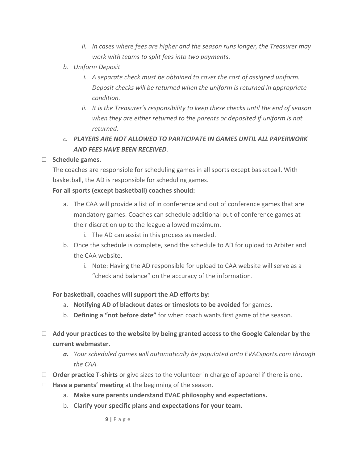- *ii. In cases where fees are higher and the season runs longer, the Treasurer may work with teams to split fees into two payments.*
- *b. Uniform Deposit*
	- *i. A separate check must be obtained to cover the cost of assigned uniform. Deposit checks will be returned when the uniform is returned in appropriate condition.*
	- *ii. It is the Treasurer's responsibility to keep these checks until the end of season when they are either returned to the parents or deposited if uniform is not returned.*
- *c. PLAYERS ARE NOT ALLOWED TO PARTICIPATE IN GAMES UNTIL ALL PAPERWORK AND FEES HAVE BEEN RECEIVED.*
- **□ Schedule games.**

The coaches are responsible for scheduling games in all sports except basketball. With basketball, the AD is responsible for scheduling games.

### **For all sports (except basketball) coaches should:**

- a. The CAA will provide a list of in conference and out of conference games that are mandatory games. Coaches can schedule additional out of conference games at their discretion up to the league allowed maximum.
	- i. The AD can assist in this process as needed.
- b. Once the schedule is complete, send the schedule to AD for upload to Arbiter and the CAA website.
	- i. Note: Having the AD responsible for upload to CAA website will serve as a "check and balance" on the accuracy of the information.

### **For basketball, coaches will support the AD efforts by:**

- a. **Notifying AD of blackout dates or timeslots to be avoided** for games.
- b. **Defining a "not before date"** for when coach wants first game of the season.
- **□ Add your practices to the website by being granted access to the Google Calendar by the current webmaster.**
	- *a. Your scheduled games will automatically be populated onto EVACsports.com through the CAA.*
- □ **Order practice T-shirts** or give sizes to the volunteer in charge of apparel if there is one.
- **□ Have a parents' meeting** at the beginning of the season.
	- a. **Make sure parents understand EVAC philosophy and expectations.**
	- b. **Clarify your specific plans and expectations for your team.**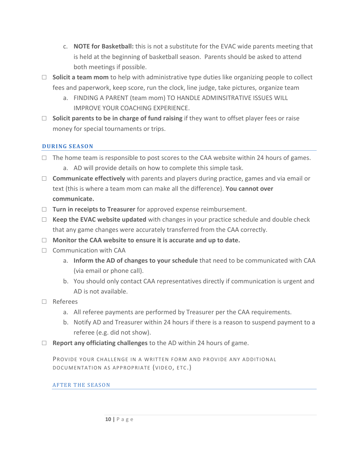- c. **NOTE for Basketball:** this is not a substitute for the EVAC wide parents meeting that is held at the beginning of basketball season. Parents should be asked to attend both meetings if possible.
- **□ Solicit a team mom** to help with administrative type duties like organizing people to collect fees and paperwork, keep score, run the clock, line judge, take pictures, organize team
	- a. FINDING A PARENT (team mom) TO HANDLE ADMINSITRATIVE ISSUES WILL IMPROVE YOUR COACHING EXPERIENCE.
- □ **Solicit parents to be in charge of fund raising** if they want to offset player fees or raise money for special tournaments or trips.

### **DURING SEASO N**

- **□** The home team is responsible to post scores to the CAA website within 24 hours of games.
	- a. AD will provide details on how to complete this simple task.
- **□ Communicate effectively** with parents and players during practice, games and via email or text (this is where a team mom can make all the difference). **You cannot over communicate.**
- **□ Turn in receipts to Treasurer** for approved expense reimbursement.
- **□ Keep the EVAC website updated** with changes in your practice schedule and double check that any game changes were accurately transferred from the CAA correctly.
- **□ Monitor the CAA website to ensure it is accurate and up to date.**
- □ Communication with CAA
	- a. **Inform the AD of changes to your schedule** that need to be communicated with CAA (via email or phone call).
	- b. You should only contact CAA representatives directly if communication is urgent and AD is not available.
- **□** Referees
	- a. All referee payments are performed by Treasurer per the CAA requirements.
	- b. Notify AD and Treasurer within 24 hours if there is a reason to suspend payment to a referee (e.g. did not show).
- **□ Report any officiating challenges** to the AD within 24 hours of game.

PROVIDE YOUR CHALLENGE IN A WRITTEN FORM AND PROVIDE ANY ADDITIONAL DOCUMENTATION AS APPROPRIATE (VIDEO, ETC.)

### **AFTER THE SEASON**